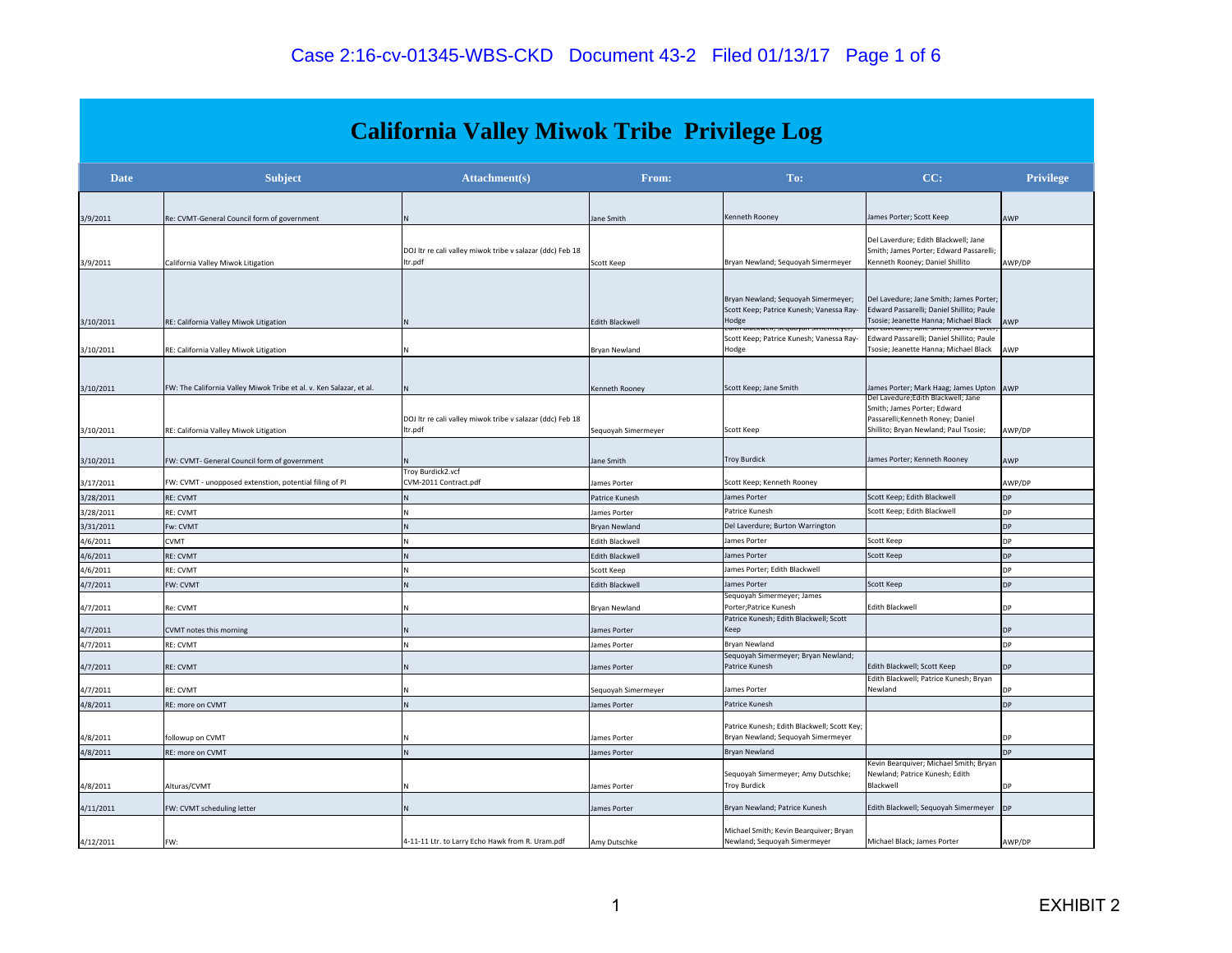|             |                                                                     | <b>California Valley Miwok Tribe Privilege Log</b>                   |                      |                                                                                          |                                                                                                                               |                  |
|-------------|---------------------------------------------------------------------|----------------------------------------------------------------------|----------------------|------------------------------------------------------------------------------------------|-------------------------------------------------------------------------------------------------------------------------------|------------------|
| <b>Date</b> | <b>Subject</b>                                                      | <b>Attachment</b> (s)                                                | From:                | To:                                                                                      | CC:                                                                                                                           | <b>Privilege</b> |
| 3/9/2011    | Re: CVMT-General Council form of government                         |                                                                      | Jane Smith           | Kenneth Rooney                                                                           | James Porter; Scott Keep                                                                                                      | AWP              |
| 3/9/2011    | California Valley Miwok Litigation                                  | DOJ Itr re cali valley miwok tribe v salazar (ddc) Feb 18<br>ltr.pdf | Scott Keep           | Bryan Newland; Sequoyah Simermeyer                                                       | Del Laverdure; Edith Blackwell; Jane<br>Smith; James Porter; Edward Passarelli;<br>Kenneth Rooney; Daniel Shillito            | AWP/DP           |
| 3/10/2011   | RE: California Valley Miwok Litigation                              |                                                                      | Edith Blackwell      | Bryan Newland; Sequoyah Simermeyer;<br>Scott Keep; Patrice Kunesh; Vanessa Ray-<br>Hodge | Del Lavedure; Jane Smith; James Porter;<br>Edward Passarelli; Daniel Shillito; Paule<br>Tsosie; Jeanette Hanna; Michael Black | AWP              |
| 3/10/2011   | RE: California Valley Miwok Litigation                              |                                                                      | <b>Brvan Newland</b> | Scott Keep; Patrice Kunesh; Vanessa Ray-<br>Hodge                                        | Edward Passarelli; Daniel Shillito; Paule<br>Tsosie; Jeanette Hanna; Michael Black                                            | AWP              |
| 3/10/2011   | FW: The California Valley Miwok Tribe et al. v. Ken Salazar, et al. | N                                                                    | Kenneth Rooney       | Scott Keep; Jane Smith                                                                   | James Porter; Mark Haag; James Upton AWP<br>Del Lavedure;Edith Blackwell; Jane                                                |                  |
| 3/10/2011   | RE: California Valley Miwok Litigation                              | DOJ Itr re cali valley miwok tribe v salazar (ddc) Feb 18<br>ltr.pdf | Sequoyah Simermeyer  | Scott Keep                                                                               | Smith; James Porter; Edward<br>Passarelli; Kenneth Roney; Daniel<br>Shillito; Bryan Newland; Paul Tsosie;                     | AWP/DP           |
| 3/10/2011   | FW: CVMT- General Council form of government                        | Troy Burdick2.vcf                                                    | Jane Smith           | Troy Burdick                                                                             | James Porter; Kenneth Rooney                                                                                                  | AWP              |
| 3/17/2011   | FW: CVMT - unopposed extenstion, potential filing of PI             | CVM-2011 Contract.pdf                                                | James Porter         | Scott Keep; Kenneth Rooney                                                               |                                                                                                                               | AWP/DP           |
| 3/28/2011   | <b>RE: CVMT</b>                                                     |                                                                      | Patrice Kunesh       | James Porter                                                                             | Scott Keep; Edith Blackwell                                                                                                   | <b>DP</b>        |
| 3/28/2011   | RE: CVMT                                                            |                                                                      | James Porter         | Patrice Kunesh                                                                           | Scott Keep; Edith Blackwell                                                                                                   | <b>DP</b>        |
| 3/31/2011   | Fw: CVMT                                                            |                                                                      | Bryan Newland        | Del Laverdure; Burton Warrington                                                         |                                                                                                                               | DP               |
| 4/6/2011    | <b>CVMT</b>                                                         |                                                                      | Edith Blackwell      | James Porter                                                                             | Scott Keep                                                                                                                    | DP               |
| 4/6/2011    | <b>RE: CVMT</b>                                                     |                                                                      | Edith Blackwell      | James Porter                                                                             | Scott Keep                                                                                                                    | DP               |
| 4/6/2011    | RE: CVMT                                                            |                                                                      | Scott Keep           | James Porter; Edith Blackwell                                                            |                                                                                                                               | DP               |
| 4/7/2011    | FW: CVMT                                                            |                                                                      | Edith Blackwell      | James Porter                                                                             | Scott Keep                                                                                                                    | <b>DP</b>        |
| 4/7/2011    | Re: CVMT                                                            |                                                                      | Bryan Newland        | Sequoyah Simermeyer; James<br>Porter; Patrice Kunesh                                     | <b>Edith Blackwell</b>                                                                                                        | DP               |
| 4/7/2011    | CVMT notes this morning                                             |                                                                      | James Porter         | Patrice Kunesh; Edith Blackwell; Scott<br>Keep                                           |                                                                                                                               | <b>DP</b>        |
| 4/7/2011    | <b>RE: CVMT</b>                                                     |                                                                      | James Porter         | Bryan Newland                                                                            |                                                                                                                               | <b>DP</b>        |
| 4/7/2011    | RE: CVMT                                                            |                                                                      | James Porter         | Sequoyah Simermeyer; Bryan Newland;<br>Patrice Kunesh                                    | Edith Blackwell; Scott Keep                                                                                                   | <b>DP</b>        |
|             |                                                                     |                                                                      |                      |                                                                                          | Edith Blackwell; Patrice Kunesh; Bryan                                                                                        |                  |
| 4/7/2011    | RE: CVMT                                                            |                                                                      | Sequoyah Simermeyer  | James Porter                                                                             | Newland                                                                                                                       | DP               |
| 4/8/2011    | RE: more on CVMT                                                    | N                                                                    | James Porter         | Patrice Kunesh<br>Patrice Kunesh; Edith Blackwell; Scott Key;                            |                                                                                                                               | DP               |
| 4/8/2011    | followup on CVMT                                                    |                                                                      | James Porter         | Bryan Newland; Sequoyah Simermeyer                                                       |                                                                                                                               | DP               |
| 4/8/2011    | RE: more on CVMT                                                    | N                                                                    | James Porter         | Bryan Newland                                                                            |                                                                                                                               | DP               |
|             |                                                                     |                                                                      |                      | Sequoyah Simermeyer; Amy Dutschke;                                                       | Kevin Bearquiver; Michael Smith; Bryan<br>Newland; Patrice Kunesh; Edith                                                      |                  |
| 4/8/2011    | Alturas/CVMT                                                        |                                                                      | James Porter         | <b>Troy Burdick</b>                                                                      | Blackwell                                                                                                                     | DP               |
| 4/11/2011   | FW: CVMT scheduling letter                                          |                                                                      | James Porter         | Bryan Newland; Patrice Kunesh                                                            | Edith Blackwell; Sequoyah Simermeyer                                                                                          | <b>DP</b>        |
| 4/12/2011   | FW:                                                                 | 4-11-11 Ltr. to Larry Echo Hawk from R. Uram.pdf                     | Amy Dutschke         | Michael Smith; Kevin Bearquiver; Bryan<br>Newland; Sequoyah Simermeyer                   | Michael Black; James Porter                                                                                                   | AWP/DP           |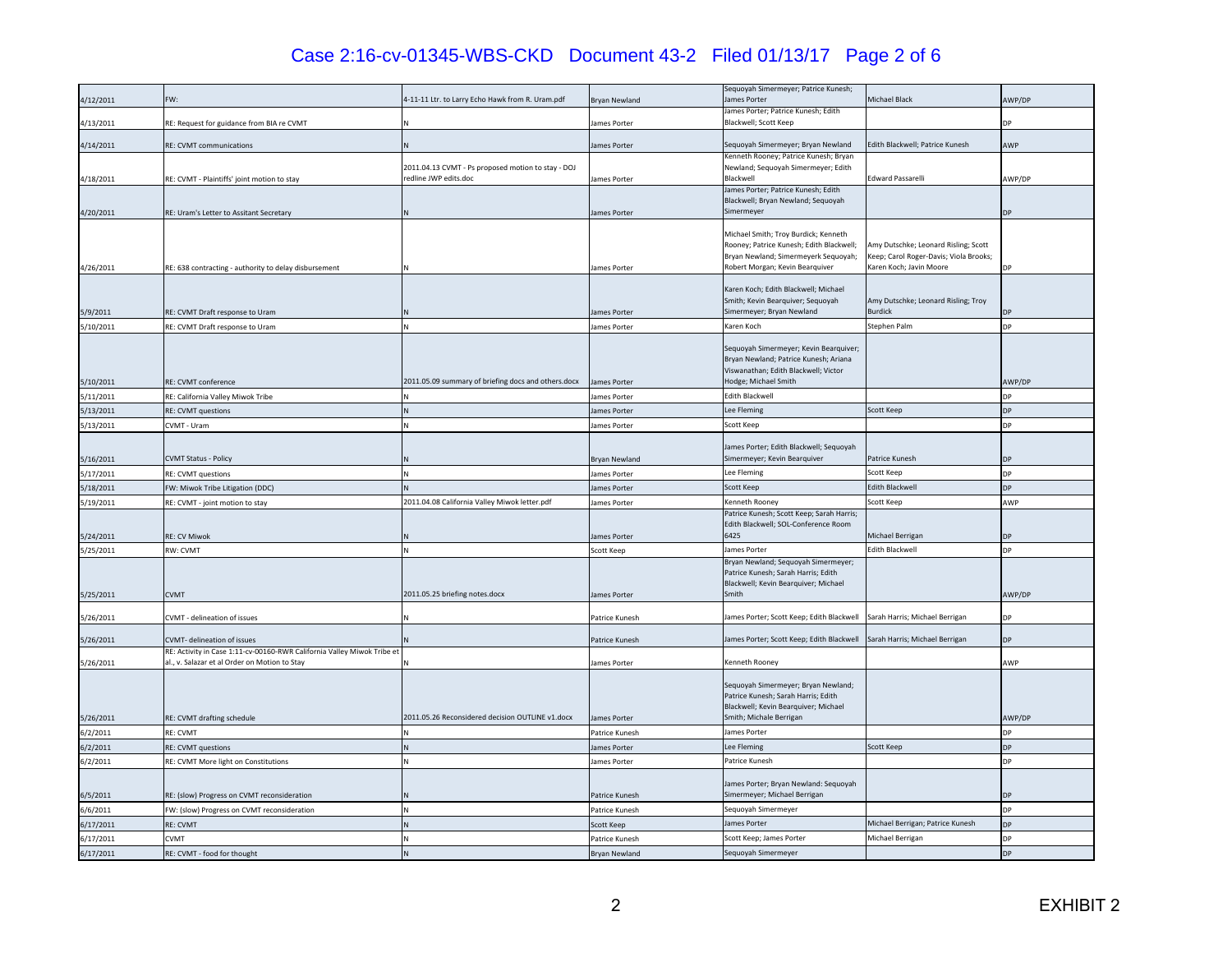# Case 2:16-cv-01345-WBS-CKD Document 43-2 Filed 01/13/17 Page 2 of 6

| James Porter; Patrice Kunesh; Edith<br>Blackwell; Scott Keep<br>4/13/2011<br>RE: Request for guidance from BIA re CVMT<br>James Porter<br>DP<br>4/14/2011<br>RE: CVMT communications<br>Sequoyah Simermeyer; Bryan Newland<br>Edith Blackwell; Patrice Kunesh<br>AWP<br>lames Porter<br>Kenneth Rooney; Patrice Kunesh; Bryan<br>2011.04.13 CVMT - Ps proposed motion to stay - DOJ<br>Newland; Sequoyah Simermeyer; Edith<br>redline JWP edits.doc<br><b>Edward Passarelli</b><br>Blackwell<br>AWP/DP<br>4/18/2011<br>RE: CVMT - Plaintiffs' joint motion to stay<br>James Porter<br>James Porter; Patrice Kunesh; Edith<br>Blackwell; Bryan Newland; Sequoyah<br>Simermeyer<br>4/20/2011<br>RE: Uram's Letter to Assitant Secretary<br>ames Porter<br>ЭP<br>Michael Smith; Troy Burdick; Kenneth<br>Rooney; Patrice Kunesh; Edith Blackwell;<br>Amy Dutschke; Leonard Risling; Scott<br>Bryan Newland; Simermeyerk Sequoyah;<br>Keep; Carol Roger-Davis; Viola Brooks;<br>Robert Morgan; Kevin Bearquiver<br>Karen Koch; Javin Moore<br>4/26/2011<br>James Porter<br>DР<br>RE: 638 contracting - authority to delay disbursement<br>Karen Koch; Edith Blackwell; Michael<br>Smith; Kevin Bearquiver; Sequoyah<br>Amy Dutschke; Leonard Risling; Troy<br>Simermeyer; Bryan Newland<br><b>Burdick</b><br>5/9/2011<br>RE: CVMT Draft response to Uram<br>ames Porter<br>)P<br>Stephen Palm<br>5/10/2011<br>Karen Koch<br>DP<br>RE: CVMT Draft response to Uram<br>lames Porter<br>Sequoyah Simermeyer; Kevin Bearquiver;<br>Bryan Newland; Patrice Kunesh; Ariana<br>Viswanathan; Edith Blackwell; Victor<br>2011.05.09 summary of briefing docs and others.docx<br>Hodge; Michael Smith<br>5/10/2011<br>RE: CVMT conference<br>lames Porter<br>AWP/DP<br>Edith Blackwell<br>5/11/2011<br>RE: California Valley Miwok Tribe<br><b>DP</b><br>James Porter<br>5/13/2011<br>Lee Fleming<br>Scott Keep<br><b>DP</b><br>RE: CVMT questions<br>James Porter<br>5/13/2011<br>CVMT - Uram<br>Scott Keep<br>DР<br>lames Porter<br>James Porter; Edith Blackwell; Sequoyah<br><b>CVMT Status - Policy</b><br>Simermeyer; Kevin Bearquiver<br>Patrice Kunesh<br>5/16/2011<br><b>Bryan Newland</b><br>DP<br>Scott Keep<br>Lee Fleming<br><b>DP</b><br>5/17/2011<br>RE: CVMT questions<br>James Porter<br>Scott Keep<br>Edith Blackwell<br>ЭP<br>5/18/2011<br>W: Miwok Tribe Litigation (DDC)<br>lames Porter<br>2011.04.08 California Valley Miwok letter.pdf<br>5/19/2011<br>Kenneth Roonev<br>Scott Keen<br>RE: CVMT - joint motion to stay<br>ames Porter<br>AWP<br>Patrice Kunesh; Scott Keep; Sarah Harris;<br>Edith Blackwell; SOL-Conference Room<br>6425<br>Michael Berrigan<br>5/24/2011<br>DP<br><b>RE: CV Miwok</b><br>James Porter<br><b>Edith Blackwell</b><br>James Porter<br>DР<br>5/25/2011<br>RW: CVMT<br>Scott Keep<br>Bryan Newland; Sequoyah Simermeyer;<br>Patrice Kunesh; Sarah Harris; Edith<br>Blackwell; Kevin Bearquiver; Michael<br>2011.05.25 briefing notes.docx<br>Smith<br>AWP/DP<br>5/25/2011<br><b>CVMT</b><br>James Porter<br>James Porter; Scott Keep; Edith Blackwell<br>Sarah Harris; Michael Berrigan<br>5/26/2011<br>CVMT - delineation of issues<br>Patrice Kunesh<br>DP<br>James Porter; Scott Keep; Edith Blackwell<br>5/26/2011<br>Sarah Harris; Michael Berrigan<br>CVMT- delineation of issues<br>Patrice Kunesh<br>DP.<br>RE: Activity in Case 1:11-cv-00160-RWR California Valley Miwok Tribe et<br>al., v. Salazar et al Order on Motion to Stay<br>AWP<br>5/26/2011<br>Kenneth Rooney<br>James Porter<br>Sequoyah Simermeyer; Bryan Newland;<br>Patrice Kunesh; Sarah Harris; Edith<br>Blackwell; Kevin Bearquiver; Michael<br>2011.05.26 Reconsidered decision OUTLINE v1.docx<br>Smith; Michale Berrigan<br>5/26/2011<br>RE: CVMT drafting schedule<br>James Porter<br>AWP/DP<br>lames Porter<br>6/2/2011<br>RE: CVMT<br>DP<br>Patrice Kunesh<br>Lee Fleming<br>Scott Keep<br>6/2/2011<br>RE: CVMT questions<br>DP<br>lames Porter<br>Patrice Kunesh<br>6/2/2011<br>DP<br>RE: CVMT More light on Constitutions<br>lames Porter<br>James Porter; Bryan Newland: Sequoyah<br>Simermeyer; Michael Berrigan<br>6/5/2011<br><b>DP</b><br>RE: (slow) Progress on CVMT reconsideration<br>Patrice Kunesh<br>6/6/2011<br>FW: (slow) Progress on CVMT reconsideration<br>Sequoyah Simermeyer<br><b>DP</b><br>Patrice Kunesh<br>James Porter<br>Michael Berrigan; Patrice Kunesh<br>DP<br>6/17/2011<br><b>RE: CVMT</b><br>Scott Keep<br>Scott Keep; James Porter<br>Michael Berrigan<br>DP<br>6/17/2011<br><b>CVMT</b><br>Patrice Kunesh<br>Sequoyah Simermeyer<br>DP<br>6/17/2011<br>RE: CVMT - food for thought<br><b>Bryan Newland</b> | 4/12/2011 | FW: | 4-11-11 Ltr. to Larry Echo Hawk from R. Uram.pdf | Bryan Newland | Sequoyah Simermeyer; Patrice Kunesh;<br>James Porter | Michael Black | AWP/DP |
|-----------------------------------------------------------------------------------------------------------------------------------------------------------------------------------------------------------------------------------------------------------------------------------------------------------------------------------------------------------------------------------------------------------------------------------------------------------------------------------------------------------------------------------------------------------------------------------------------------------------------------------------------------------------------------------------------------------------------------------------------------------------------------------------------------------------------------------------------------------------------------------------------------------------------------------------------------------------------------------------------------------------------------------------------------------------------------------------------------------------------------------------------------------------------------------------------------------------------------------------------------------------------------------------------------------------------------------------------------------------------------------------------------------------------------------------------------------------------------------------------------------------------------------------------------------------------------------------------------------------------------------------------------------------------------------------------------------------------------------------------------------------------------------------------------------------------------------------------------------------------------------------------------------------------------------------------------------------------------------------------------------------------------------------------------------------------------------------------------------------------------------------------------------------------------------------------------------------------------------------------------------------------------------------------------------------------------------------------------------------------------------------------------------------------------------------------------------------------------------------------------------------------------------------------------------------------------------------------------------------------------------------------------------------------------------------------------------------------------------------------------------------------------------------------------------------------------------------------------------------------------------------------------------------------------------------------------------------------------------------------------------------------------------------------------------------------------------------------------------------------------------------------------------------------------------------------------------------------------------------------------------------------------------------------------------------------------------------------------------------------------------------------------------------------------------------------------------------------------------------------------------------------------------------------------------------------------------------------------------------------------------------------------------------------------------------------------------------------------------------------------------------------------------------------------------------------------------------------------------------------------------------------------------------------------------------------------------------------------------------------------------------------------------------------------------------------------------------------------------------------------------------------------------------------------------------------------------------------------------------------------------------------------------------------------------------------------------------------------------------------------------------------------------------------------------------------------------------------------------------------------------------------------------------------------------------------------------------------------------------------------------------------------------------------|-----------|-----|--------------------------------------------------|---------------|------------------------------------------------------|---------------|--------|
|                                                                                                                                                                                                                                                                                                                                                                                                                                                                                                                                                                                                                                                                                                                                                                                                                                                                                                                                                                                                                                                                                                                                                                                                                                                                                                                                                                                                                                                                                                                                                                                                                                                                                                                                                                                                                                                                                                                                                                                                                                                                                                                                                                                                                                                                                                                                                                                                                                                                                                                                                                                                                                                                                                                                                                                                                                                                                                                                                                                                                                                                                                                                                                                                                                                                                                                                                                                                                                                                                                                                                                                                                                                                                                                                                                                                                                                                                                                                                                                                                                                                                                                                                                                                                                                                                                                                                                                                                                                                                                                                                                                                                                                                       |           |     |                                                  |               |                                                      |               |        |
|                                                                                                                                                                                                                                                                                                                                                                                                                                                                                                                                                                                                                                                                                                                                                                                                                                                                                                                                                                                                                                                                                                                                                                                                                                                                                                                                                                                                                                                                                                                                                                                                                                                                                                                                                                                                                                                                                                                                                                                                                                                                                                                                                                                                                                                                                                                                                                                                                                                                                                                                                                                                                                                                                                                                                                                                                                                                                                                                                                                                                                                                                                                                                                                                                                                                                                                                                                                                                                                                                                                                                                                                                                                                                                                                                                                                                                                                                                                                                                                                                                                                                                                                                                                                                                                                                                                                                                                                                                                                                                                                                                                                                                                                       |           |     |                                                  |               |                                                      |               |        |
|                                                                                                                                                                                                                                                                                                                                                                                                                                                                                                                                                                                                                                                                                                                                                                                                                                                                                                                                                                                                                                                                                                                                                                                                                                                                                                                                                                                                                                                                                                                                                                                                                                                                                                                                                                                                                                                                                                                                                                                                                                                                                                                                                                                                                                                                                                                                                                                                                                                                                                                                                                                                                                                                                                                                                                                                                                                                                                                                                                                                                                                                                                                                                                                                                                                                                                                                                                                                                                                                                                                                                                                                                                                                                                                                                                                                                                                                                                                                                                                                                                                                                                                                                                                                                                                                                                                                                                                                                                                                                                                                                                                                                                                                       |           |     |                                                  |               |                                                      |               |        |
|                                                                                                                                                                                                                                                                                                                                                                                                                                                                                                                                                                                                                                                                                                                                                                                                                                                                                                                                                                                                                                                                                                                                                                                                                                                                                                                                                                                                                                                                                                                                                                                                                                                                                                                                                                                                                                                                                                                                                                                                                                                                                                                                                                                                                                                                                                                                                                                                                                                                                                                                                                                                                                                                                                                                                                                                                                                                                                                                                                                                                                                                                                                                                                                                                                                                                                                                                                                                                                                                                                                                                                                                                                                                                                                                                                                                                                                                                                                                                                                                                                                                                                                                                                                                                                                                                                                                                                                                                                                                                                                                                                                                                                                                       |           |     |                                                  |               |                                                      |               |        |
|                                                                                                                                                                                                                                                                                                                                                                                                                                                                                                                                                                                                                                                                                                                                                                                                                                                                                                                                                                                                                                                                                                                                                                                                                                                                                                                                                                                                                                                                                                                                                                                                                                                                                                                                                                                                                                                                                                                                                                                                                                                                                                                                                                                                                                                                                                                                                                                                                                                                                                                                                                                                                                                                                                                                                                                                                                                                                                                                                                                                                                                                                                                                                                                                                                                                                                                                                                                                                                                                                                                                                                                                                                                                                                                                                                                                                                                                                                                                                                                                                                                                                                                                                                                                                                                                                                                                                                                                                                                                                                                                                                                                                                                                       |           |     |                                                  |               |                                                      |               |        |
|                                                                                                                                                                                                                                                                                                                                                                                                                                                                                                                                                                                                                                                                                                                                                                                                                                                                                                                                                                                                                                                                                                                                                                                                                                                                                                                                                                                                                                                                                                                                                                                                                                                                                                                                                                                                                                                                                                                                                                                                                                                                                                                                                                                                                                                                                                                                                                                                                                                                                                                                                                                                                                                                                                                                                                                                                                                                                                                                                                                                                                                                                                                                                                                                                                                                                                                                                                                                                                                                                                                                                                                                                                                                                                                                                                                                                                                                                                                                                                                                                                                                                                                                                                                                                                                                                                                                                                                                                                                                                                                                                                                                                                                                       |           |     |                                                  |               |                                                      |               |        |
|                                                                                                                                                                                                                                                                                                                                                                                                                                                                                                                                                                                                                                                                                                                                                                                                                                                                                                                                                                                                                                                                                                                                                                                                                                                                                                                                                                                                                                                                                                                                                                                                                                                                                                                                                                                                                                                                                                                                                                                                                                                                                                                                                                                                                                                                                                                                                                                                                                                                                                                                                                                                                                                                                                                                                                                                                                                                                                                                                                                                                                                                                                                                                                                                                                                                                                                                                                                                                                                                                                                                                                                                                                                                                                                                                                                                                                                                                                                                                                                                                                                                                                                                                                                                                                                                                                                                                                                                                                                                                                                                                                                                                                                                       |           |     |                                                  |               |                                                      |               |        |
|                                                                                                                                                                                                                                                                                                                                                                                                                                                                                                                                                                                                                                                                                                                                                                                                                                                                                                                                                                                                                                                                                                                                                                                                                                                                                                                                                                                                                                                                                                                                                                                                                                                                                                                                                                                                                                                                                                                                                                                                                                                                                                                                                                                                                                                                                                                                                                                                                                                                                                                                                                                                                                                                                                                                                                                                                                                                                                                                                                                                                                                                                                                                                                                                                                                                                                                                                                                                                                                                                                                                                                                                                                                                                                                                                                                                                                                                                                                                                                                                                                                                                                                                                                                                                                                                                                                                                                                                                                                                                                                                                                                                                                                                       |           |     |                                                  |               |                                                      |               |        |
|                                                                                                                                                                                                                                                                                                                                                                                                                                                                                                                                                                                                                                                                                                                                                                                                                                                                                                                                                                                                                                                                                                                                                                                                                                                                                                                                                                                                                                                                                                                                                                                                                                                                                                                                                                                                                                                                                                                                                                                                                                                                                                                                                                                                                                                                                                                                                                                                                                                                                                                                                                                                                                                                                                                                                                                                                                                                                                                                                                                                                                                                                                                                                                                                                                                                                                                                                                                                                                                                                                                                                                                                                                                                                                                                                                                                                                                                                                                                                                                                                                                                                                                                                                                                                                                                                                                                                                                                                                                                                                                                                                                                                                                                       |           |     |                                                  |               |                                                      |               |        |
|                                                                                                                                                                                                                                                                                                                                                                                                                                                                                                                                                                                                                                                                                                                                                                                                                                                                                                                                                                                                                                                                                                                                                                                                                                                                                                                                                                                                                                                                                                                                                                                                                                                                                                                                                                                                                                                                                                                                                                                                                                                                                                                                                                                                                                                                                                                                                                                                                                                                                                                                                                                                                                                                                                                                                                                                                                                                                                                                                                                                                                                                                                                                                                                                                                                                                                                                                                                                                                                                                                                                                                                                                                                                                                                                                                                                                                                                                                                                                                                                                                                                                                                                                                                                                                                                                                                                                                                                                                                                                                                                                                                                                                                                       |           |     |                                                  |               |                                                      |               |        |
|                                                                                                                                                                                                                                                                                                                                                                                                                                                                                                                                                                                                                                                                                                                                                                                                                                                                                                                                                                                                                                                                                                                                                                                                                                                                                                                                                                                                                                                                                                                                                                                                                                                                                                                                                                                                                                                                                                                                                                                                                                                                                                                                                                                                                                                                                                                                                                                                                                                                                                                                                                                                                                                                                                                                                                                                                                                                                                                                                                                                                                                                                                                                                                                                                                                                                                                                                                                                                                                                                                                                                                                                                                                                                                                                                                                                                                                                                                                                                                                                                                                                                                                                                                                                                                                                                                                                                                                                                                                                                                                                                                                                                                                                       |           |     |                                                  |               |                                                      |               |        |
|                                                                                                                                                                                                                                                                                                                                                                                                                                                                                                                                                                                                                                                                                                                                                                                                                                                                                                                                                                                                                                                                                                                                                                                                                                                                                                                                                                                                                                                                                                                                                                                                                                                                                                                                                                                                                                                                                                                                                                                                                                                                                                                                                                                                                                                                                                                                                                                                                                                                                                                                                                                                                                                                                                                                                                                                                                                                                                                                                                                                                                                                                                                                                                                                                                                                                                                                                                                                                                                                                                                                                                                                                                                                                                                                                                                                                                                                                                                                                                                                                                                                                                                                                                                                                                                                                                                                                                                                                                                                                                                                                                                                                                                                       |           |     |                                                  |               |                                                      |               |        |
|                                                                                                                                                                                                                                                                                                                                                                                                                                                                                                                                                                                                                                                                                                                                                                                                                                                                                                                                                                                                                                                                                                                                                                                                                                                                                                                                                                                                                                                                                                                                                                                                                                                                                                                                                                                                                                                                                                                                                                                                                                                                                                                                                                                                                                                                                                                                                                                                                                                                                                                                                                                                                                                                                                                                                                                                                                                                                                                                                                                                                                                                                                                                                                                                                                                                                                                                                                                                                                                                                                                                                                                                                                                                                                                                                                                                                                                                                                                                                                                                                                                                                                                                                                                                                                                                                                                                                                                                                                                                                                                                                                                                                                                                       |           |     |                                                  |               |                                                      |               |        |
|                                                                                                                                                                                                                                                                                                                                                                                                                                                                                                                                                                                                                                                                                                                                                                                                                                                                                                                                                                                                                                                                                                                                                                                                                                                                                                                                                                                                                                                                                                                                                                                                                                                                                                                                                                                                                                                                                                                                                                                                                                                                                                                                                                                                                                                                                                                                                                                                                                                                                                                                                                                                                                                                                                                                                                                                                                                                                                                                                                                                                                                                                                                                                                                                                                                                                                                                                                                                                                                                                                                                                                                                                                                                                                                                                                                                                                                                                                                                                                                                                                                                                                                                                                                                                                                                                                                                                                                                                                                                                                                                                                                                                                                                       |           |     |                                                  |               |                                                      |               |        |
|                                                                                                                                                                                                                                                                                                                                                                                                                                                                                                                                                                                                                                                                                                                                                                                                                                                                                                                                                                                                                                                                                                                                                                                                                                                                                                                                                                                                                                                                                                                                                                                                                                                                                                                                                                                                                                                                                                                                                                                                                                                                                                                                                                                                                                                                                                                                                                                                                                                                                                                                                                                                                                                                                                                                                                                                                                                                                                                                                                                                                                                                                                                                                                                                                                                                                                                                                                                                                                                                                                                                                                                                                                                                                                                                                                                                                                                                                                                                                                                                                                                                                                                                                                                                                                                                                                                                                                                                                                                                                                                                                                                                                                                                       |           |     |                                                  |               |                                                      |               |        |
|                                                                                                                                                                                                                                                                                                                                                                                                                                                                                                                                                                                                                                                                                                                                                                                                                                                                                                                                                                                                                                                                                                                                                                                                                                                                                                                                                                                                                                                                                                                                                                                                                                                                                                                                                                                                                                                                                                                                                                                                                                                                                                                                                                                                                                                                                                                                                                                                                                                                                                                                                                                                                                                                                                                                                                                                                                                                                                                                                                                                                                                                                                                                                                                                                                                                                                                                                                                                                                                                                                                                                                                                                                                                                                                                                                                                                                                                                                                                                                                                                                                                                                                                                                                                                                                                                                                                                                                                                                                                                                                                                                                                                                                                       |           |     |                                                  |               |                                                      |               |        |
|                                                                                                                                                                                                                                                                                                                                                                                                                                                                                                                                                                                                                                                                                                                                                                                                                                                                                                                                                                                                                                                                                                                                                                                                                                                                                                                                                                                                                                                                                                                                                                                                                                                                                                                                                                                                                                                                                                                                                                                                                                                                                                                                                                                                                                                                                                                                                                                                                                                                                                                                                                                                                                                                                                                                                                                                                                                                                                                                                                                                                                                                                                                                                                                                                                                                                                                                                                                                                                                                                                                                                                                                                                                                                                                                                                                                                                                                                                                                                                                                                                                                                                                                                                                                                                                                                                                                                                                                                                                                                                                                                                                                                                                                       |           |     |                                                  |               |                                                      |               |        |
|                                                                                                                                                                                                                                                                                                                                                                                                                                                                                                                                                                                                                                                                                                                                                                                                                                                                                                                                                                                                                                                                                                                                                                                                                                                                                                                                                                                                                                                                                                                                                                                                                                                                                                                                                                                                                                                                                                                                                                                                                                                                                                                                                                                                                                                                                                                                                                                                                                                                                                                                                                                                                                                                                                                                                                                                                                                                                                                                                                                                                                                                                                                                                                                                                                                                                                                                                                                                                                                                                                                                                                                                                                                                                                                                                                                                                                                                                                                                                                                                                                                                                                                                                                                                                                                                                                                                                                                                                                                                                                                                                                                                                                                                       |           |     |                                                  |               |                                                      |               |        |
|                                                                                                                                                                                                                                                                                                                                                                                                                                                                                                                                                                                                                                                                                                                                                                                                                                                                                                                                                                                                                                                                                                                                                                                                                                                                                                                                                                                                                                                                                                                                                                                                                                                                                                                                                                                                                                                                                                                                                                                                                                                                                                                                                                                                                                                                                                                                                                                                                                                                                                                                                                                                                                                                                                                                                                                                                                                                                                                                                                                                                                                                                                                                                                                                                                                                                                                                                                                                                                                                                                                                                                                                                                                                                                                                                                                                                                                                                                                                                                                                                                                                                                                                                                                                                                                                                                                                                                                                                                                                                                                                                                                                                                                                       |           |     |                                                  |               |                                                      |               |        |
|                                                                                                                                                                                                                                                                                                                                                                                                                                                                                                                                                                                                                                                                                                                                                                                                                                                                                                                                                                                                                                                                                                                                                                                                                                                                                                                                                                                                                                                                                                                                                                                                                                                                                                                                                                                                                                                                                                                                                                                                                                                                                                                                                                                                                                                                                                                                                                                                                                                                                                                                                                                                                                                                                                                                                                                                                                                                                                                                                                                                                                                                                                                                                                                                                                                                                                                                                                                                                                                                                                                                                                                                                                                                                                                                                                                                                                                                                                                                                                                                                                                                                                                                                                                                                                                                                                                                                                                                                                                                                                                                                                                                                                                                       |           |     |                                                  |               |                                                      |               |        |
|                                                                                                                                                                                                                                                                                                                                                                                                                                                                                                                                                                                                                                                                                                                                                                                                                                                                                                                                                                                                                                                                                                                                                                                                                                                                                                                                                                                                                                                                                                                                                                                                                                                                                                                                                                                                                                                                                                                                                                                                                                                                                                                                                                                                                                                                                                                                                                                                                                                                                                                                                                                                                                                                                                                                                                                                                                                                                                                                                                                                                                                                                                                                                                                                                                                                                                                                                                                                                                                                                                                                                                                                                                                                                                                                                                                                                                                                                                                                                                                                                                                                                                                                                                                                                                                                                                                                                                                                                                                                                                                                                                                                                                                                       |           |     |                                                  |               |                                                      |               |        |
|                                                                                                                                                                                                                                                                                                                                                                                                                                                                                                                                                                                                                                                                                                                                                                                                                                                                                                                                                                                                                                                                                                                                                                                                                                                                                                                                                                                                                                                                                                                                                                                                                                                                                                                                                                                                                                                                                                                                                                                                                                                                                                                                                                                                                                                                                                                                                                                                                                                                                                                                                                                                                                                                                                                                                                                                                                                                                                                                                                                                                                                                                                                                                                                                                                                                                                                                                                                                                                                                                                                                                                                                                                                                                                                                                                                                                                                                                                                                                                                                                                                                                                                                                                                                                                                                                                                                                                                                                                                                                                                                                                                                                                                                       |           |     |                                                  |               |                                                      |               |        |
|                                                                                                                                                                                                                                                                                                                                                                                                                                                                                                                                                                                                                                                                                                                                                                                                                                                                                                                                                                                                                                                                                                                                                                                                                                                                                                                                                                                                                                                                                                                                                                                                                                                                                                                                                                                                                                                                                                                                                                                                                                                                                                                                                                                                                                                                                                                                                                                                                                                                                                                                                                                                                                                                                                                                                                                                                                                                                                                                                                                                                                                                                                                                                                                                                                                                                                                                                                                                                                                                                                                                                                                                                                                                                                                                                                                                                                                                                                                                                                                                                                                                                                                                                                                                                                                                                                                                                                                                                                                                                                                                                                                                                                                                       |           |     |                                                  |               |                                                      |               |        |
|                                                                                                                                                                                                                                                                                                                                                                                                                                                                                                                                                                                                                                                                                                                                                                                                                                                                                                                                                                                                                                                                                                                                                                                                                                                                                                                                                                                                                                                                                                                                                                                                                                                                                                                                                                                                                                                                                                                                                                                                                                                                                                                                                                                                                                                                                                                                                                                                                                                                                                                                                                                                                                                                                                                                                                                                                                                                                                                                                                                                                                                                                                                                                                                                                                                                                                                                                                                                                                                                                                                                                                                                                                                                                                                                                                                                                                                                                                                                                                                                                                                                                                                                                                                                                                                                                                                                                                                                                                                                                                                                                                                                                                                                       |           |     |                                                  |               |                                                      |               |        |
|                                                                                                                                                                                                                                                                                                                                                                                                                                                                                                                                                                                                                                                                                                                                                                                                                                                                                                                                                                                                                                                                                                                                                                                                                                                                                                                                                                                                                                                                                                                                                                                                                                                                                                                                                                                                                                                                                                                                                                                                                                                                                                                                                                                                                                                                                                                                                                                                                                                                                                                                                                                                                                                                                                                                                                                                                                                                                                                                                                                                                                                                                                                                                                                                                                                                                                                                                                                                                                                                                                                                                                                                                                                                                                                                                                                                                                                                                                                                                                                                                                                                                                                                                                                                                                                                                                                                                                                                                                                                                                                                                                                                                                                                       |           |     |                                                  |               |                                                      |               |        |
|                                                                                                                                                                                                                                                                                                                                                                                                                                                                                                                                                                                                                                                                                                                                                                                                                                                                                                                                                                                                                                                                                                                                                                                                                                                                                                                                                                                                                                                                                                                                                                                                                                                                                                                                                                                                                                                                                                                                                                                                                                                                                                                                                                                                                                                                                                                                                                                                                                                                                                                                                                                                                                                                                                                                                                                                                                                                                                                                                                                                                                                                                                                                                                                                                                                                                                                                                                                                                                                                                                                                                                                                                                                                                                                                                                                                                                                                                                                                                                                                                                                                                                                                                                                                                                                                                                                                                                                                                                                                                                                                                                                                                                                                       |           |     |                                                  |               |                                                      |               |        |
|                                                                                                                                                                                                                                                                                                                                                                                                                                                                                                                                                                                                                                                                                                                                                                                                                                                                                                                                                                                                                                                                                                                                                                                                                                                                                                                                                                                                                                                                                                                                                                                                                                                                                                                                                                                                                                                                                                                                                                                                                                                                                                                                                                                                                                                                                                                                                                                                                                                                                                                                                                                                                                                                                                                                                                                                                                                                                                                                                                                                                                                                                                                                                                                                                                                                                                                                                                                                                                                                                                                                                                                                                                                                                                                                                                                                                                                                                                                                                                                                                                                                                                                                                                                                                                                                                                                                                                                                                                                                                                                                                                                                                                                                       |           |     |                                                  |               |                                                      |               |        |
|                                                                                                                                                                                                                                                                                                                                                                                                                                                                                                                                                                                                                                                                                                                                                                                                                                                                                                                                                                                                                                                                                                                                                                                                                                                                                                                                                                                                                                                                                                                                                                                                                                                                                                                                                                                                                                                                                                                                                                                                                                                                                                                                                                                                                                                                                                                                                                                                                                                                                                                                                                                                                                                                                                                                                                                                                                                                                                                                                                                                                                                                                                                                                                                                                                                                                                                                                                                                                                                                                                                                                                                                                                                                                                                                                                                                                                                                                                                                                                                                                                                                                                                                                                                                                                                                                                                                                                                                                                                                                                                                                                                                                                                                       |           |     |                                                  |               |                                                      |               |        |
|                                                                                                                                                                                                                                                                                                                                                                                                                                                                                                                                                                                                                                                                                                                                                                                                                                                                                                                                                                                                                                                                                                                                                                                                                                                                                                                                                                                                                                                                                                                                                                                                                                                                                                                                                                                                                                                                                                                                                                                                                                                                                                                                                                                                                                                                                                                                                                                                                                                                                                                                                                                                                                                                                                                                                                                                                                                                                                                                                                                                                                                                                                                                                                                                                                                                                                                                                                                                                                                                                                                                                                                                                                                                                                                                                                                                                                                                                                                                                                                                                                                                                                                                                                                                                                                                                                                                                                                                                                                                                                                                                                                                                                                                       |           |     |                                                  |               |                                                      |               |        |
|                                                                                                                                                                                                                                                                                                                                                                                                                                                                                                                                                                                                                                                                                                                                                                                                                                                                                                                                                                                                                                                                                                                                                                                                                                                                                                                                                                                                                                                                                                                                                                                                                                                                                                                                                                                                                                                                                                                                                                                                                                                                                                                                                                                                                                                                                                                                                                                                                                                                                                                                                                                                                                                                                                                                                                                                                                                                                                                                                                                                                                                                                                                                                                                                                                                                                                                                                                                                                                                                                                                                                                                                                                                                                                                                                                                                                                                                                                                                                                                                                                                                                                                                                                                                                                                                                                                                                                                                                                                                                                                                                                                                                                                                       |           |     |                                                  |               |                                                      |               |        |
|                                                                                                                                                                                                                                                                                                                                                                                                                                                                                                                                                                                                                                                                                                                                                                                                                                                                                                                                                                                                                                                                                                                                                                                                                                                                                                                                                                                                                                                                                                                                                                                                                                                                                                                                                                                                                                                                                                                                                                                                                                                                                                                                                                                                                                                                                                                                                                                                                                                                                                                                                                                                                                                                                                                                                                                                                                                                                                                                                                                                                                                                                                                                                                                                                                                                                                                                                                                                                                                                                                                                                                                                                                                                                                                                                                                                                                                                                                                                                                                                                                                                                                                                                                                                                                                                                                                                                                                                                                                                                                                                                                                                                                                                       |           |     |                                                  |               |                                                      |               |        |
|                                                                                                                                                                                                                                                                                                                                                                                                                                                                                                                                                                                                                                                                                                                                                                                                                                                                                                                                                                                                                                                                                                                                                                                                                                                                                                                                                                                                                                                                                                                                                                                                                                                                                                                                                                                                                                                                                                                                                                                                                                                                                                                                                                                                                                                                                                                                                                                                                                                                                                                                                                                                                                                                                                                                                                                                                                                                                                                                                                                                                                                                                                                                                                                                                                                                                                                                                                                                                                                                                                                                                                                                                                                                                                                                                                                                                                                                                                                                                                                                                                                                                                                                                                                                                                                                                                                                                                                                                                                                                                                                                                                                                                                                       |           |     |                                                  |               |                                                      |               |        |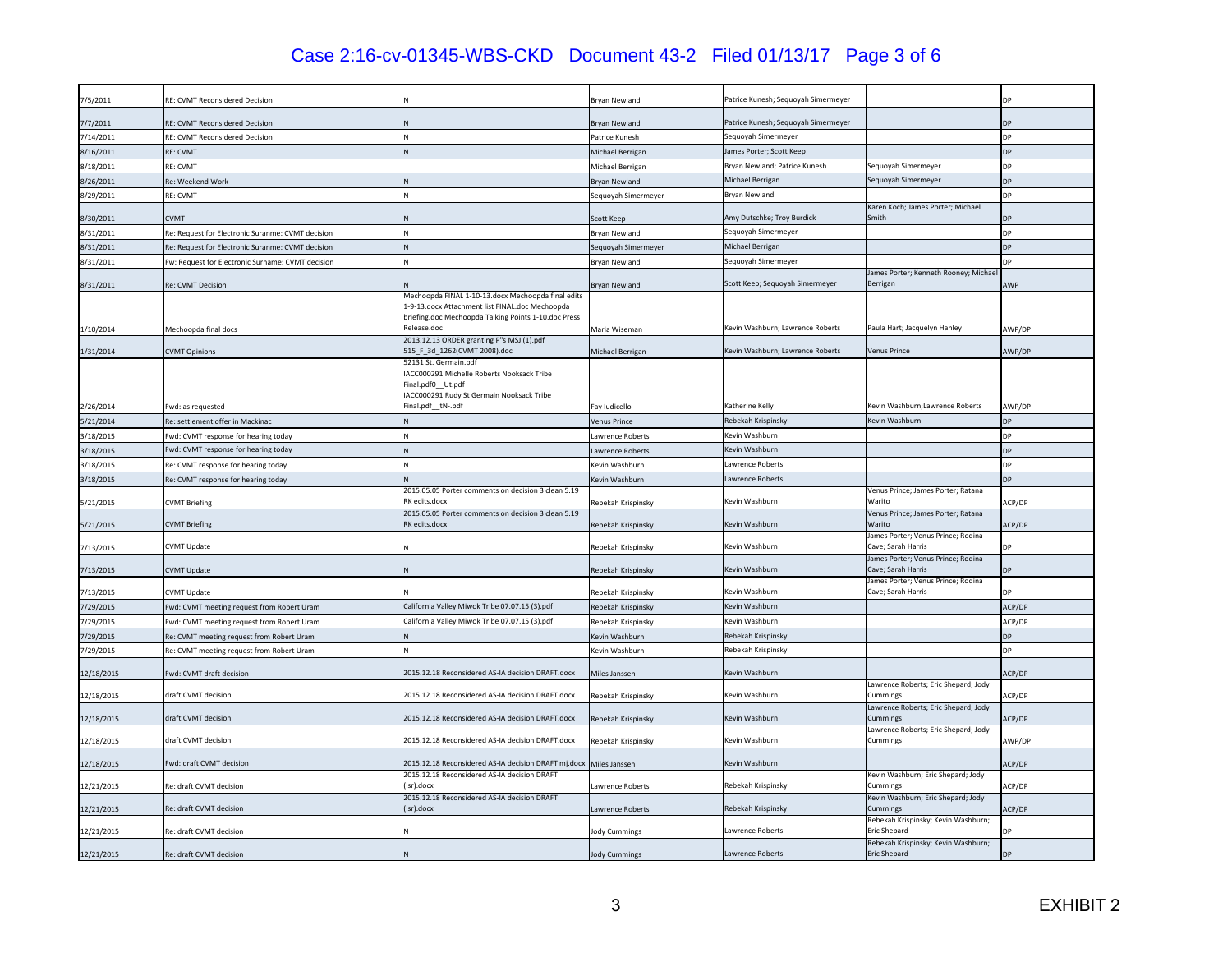# Case 2:16-cv-01345-WBS-CKD Document 43-2 Filed 01/13/17 Page 3 of 6

| 7/5/2011   | RE: CVMT Reconsidered Decision                    |                                                                      | Bryan Newland        | Patrice Kunesh; Seguoyah Simermeyer |                                                          |                      |
|------------|---------------------------------------------------|----------------------------------------------------------------------|----------------------|-------------------------------------|----------------------------------------------------------|----------------------|
| 7/7/2011   | RE: CVMT Reconsidered Decision                    |                                                                      | <b>Brvan Newland</b> | Patrice Kunesh; Sequoyah Simermeyer |                                                          | DP                   |
| 7/14/2011  | <b>RE: CVMT Reconsidered Decision</b>             | N                                                                    | Patrice Kunesh       | Sequoyah Simermeyer                 |                                                          | <b>DP</b>            |
| 8/16/2011  | <b>RE: CVMT</b>                                   | N                                                                    | Michael Berrigan     | James Porter; Scott Keep            |                                                          | <b>DP</b>            |
| 8/18/2011  | RE: CVMT                                          |                                                                      | Michael Berrigan     | Bryan Newland; Patrice Kunesh       | Sequoyah Simermeyer                                      | DP                   |
| 8/26/2011  | Re: Weekend Work                                  |                                                                      | Bryan Newland        | Michael Berrigan                    | Sequoyah Simermeyer                                      | <b>DP</b>            |
| 8/29/2011  | RE: CVMT                                          | N                                                                    | Sequoyah Simermeyer  | Bryan Newland                       |                                                          | <b>DP</b>            |
|            |                                                   |                                                                      |                      |                                     | Karen Koch; James Porter; Michael                        |                      |
| 8/30/2011  | <b>CVMT</b>                                       |                                                                      | Scott Keep           | Amy Dutschke; Troy Burdick          | Smith                                                    |                      |
| 8/31/2011  | Re: Request for Electronic Suranme: CVMT decision |                                                                      | Brvan Newland        | Seguovah Simermever                 |                                                          | <b>DP</b>            |
| 8/31/2011  | Re: Request for Electronic Suranme: CVMT decision |                                                                      | Sequoyah Simermeyer  | Michael Berrigan                    |                                                          | <b>DP</b>            |
| 8/31/2011  | Fw: Request for Electronic Surname: CVMT decision | N                                                                    | Bryan Newland        | Sequoyah Simermeyer                 |                                                          | <b>D<sub>P</sub></b> |
|            |                                                   |                                                                      | <b>Brvan Newland</b> | Scott Keep; Sequoyah Simermeyer     | James Porter; Kenneth Rooney; Michae<br>Berrigan         | <b>AWP</b>           |
| 8/31/2011  | Re: CVMT Decision                                 | Mechoopda FINAL 1-10-13.docx Mechoopda final edits                   |                      |                                     |                                                          |                      |
|            |                                                   | 1-9-13.docx Attachment list FINAL.doc Mechoopda                      |                      |                                     |                                                          |                      |
|            |                                                   | briefing.doc Mechoopda Talking Points 1-10.doc Press                 |                      |                                     |                                                          |                      |
| 1/10/2014  | Mechoopda final docs                              | Release.doc<br>2013.12.13 ORDER granting P"s MSJ (1).pdf             | Maria Wiseman        | Kevin Washburn; Lawrence Roberts    | Paula Hart; Jacquelyn Hanley                             | AWP/DP               |
| 1/31/2014  | <b>CVMT Opinions</b>                              | 515_F_3d_1262(CVMT 2008).doc                                         | Michael Berrigan     | Kevin Washburn; Lawrence Roberts    | <b>Venus Prince</b>                                      | AWP/DP               |
|            |                                                   | 52131 St. Germain.pdf                                                |                      |                                     |                                                          |                      |
|            |                                                   | ACC000291 Michelle Roberts Nooksack Tribe<br>Final.pdf0_Ut.pdf       |                      |                                     |                                                          |                      |
|            |                                                   | ACC000291 Rudy St Germain Nooksack Tribe                             |                      |                                     |                                                          |                      |
| 2/26/2014  | Fwd: as requested                                 | Final.pdf_tN-.pdf                                                    | Fav Iudicello        | Katherine Kelly                     | Kevin Washburn; Lawrence Roberts                         | AWP/DP               |
| 5/21/2014  | Re: settlement offer in Mackinac                  |                                                                      | Venus Prince         | Rebekah Krispinsky                  | Kevin Washburn                                           | DP                   |
| 3/18/2015  | Fwd: CVMT response for hearing today              |                                                                      | Lawrence Roberts     | Kevin Washburn                      |                                                          | <b>DP</b>            |
| 3/18/2015  | Fwd: CVMT response for hearing today              |                                                                      | Lawrence Roberts     | Kevin Washburn                      |                                                          | <b>DP</b>            |
| 3/18/2015  | Re: CVMT response for hearing today               |                                                                      | Kevin Washburn       | Lawrence Roberts                    |                                                          | <b>DP</b>            |
| 3/18/2015  | Re: CVMT response for hearing today               |                                                                      | Kevin Washburn       | Lawrence Roberts                    |                                                          | <b>D<sub>D</sub></b> |
| 5/21/2015  | <b>CVMT Briefing</b>                              | 2015.05.05 Porter comments on decision 3 clean 5.19<br>RK edits.docx | Rebekah Krispinsky   | Kevin Washburn                      | Venus Prince; James Porter; Ratana<br>Warito             | ACP/DP               |
| 5/21/2015  | <b>CVMT Briefing</b>                              | 2015.05.05 Porter comments on decision 3 clean 5.19<br>RK edits.docx | Rebekah Krispinsky   | Kevin Washburn                      | Venus Prince; James Porter; Ratana<br>Warito             | ACP/DP               |
|            |                                                   |                                                                      |                      |                                     | James Porter; Venus Prince; Rodina                       |                      |
| 7/13/2015  | CVMT Update                                       |                                                                      | Rebekah Krispinsky   | Kevin Washburn                      | Cave: Sarah Harris<br>James Porter; Venus Prince; Rodina | DP                   |
| 7/13/2015  | <b>CVMT Update</b>                                |                                                                      | Rebekah Krispinsky   | Kevin Washburn                      | Cave; Sarah Harris                                       | <b>DP</b>            |
| 7/13/2015  | <b>CVMT Update</b>                                |                                                                      | Rebekah Krispinsky   | Kevin Washburn                      | James Porter; Venus Prince; Rodina<br>Cave; Sarah Harris |                      |
| 7/29/2015  | Fwd: CVMT meeting request from Robert Uram        | California Valley Miwok Tribe 07.07.15 (3).pdf                       | Rebekah Krispinsky   | Kevin Washburn                      |                                                          | ACP/DP               |
| 7/29/2015  | Fwd: CVMT meeting request from Robert Uram        | California Valley Miwok Tribe 07.07.15 (3).pdf                       | Rebekah Krispinsky   | Kevin Washburn                      |                                                          | ACP/DP               |
| 7/29/2015  | Re: CVMT meeting request from Robert Uram         |                                                                      | Kevin Washburn       | Rebekah Krispinsky                  |                                                          | <b>DP</b>            |
| 7/29/2015  | Re: CVMT meeting request from Robert Uram         |                                                                      | Kevin Washburn       | Rebekah Krispinsky                  |                                                          | DP                   |
|            |                                                   |                                                                      |                      |                                     |                                                          |                      |
| 12/18/2015 | Fwd: CVMT draft decision                          | 2015.12.18 Reconsidered AS-IA decision DRAFT.docx                    | <b>Miles Janssen</b> | Kevin Washburn                      |                                                          | ACP/DP               |
| 12/18/2015 | draft CVMT decision                               | 2015.12.18 Reconsidered AS-IA decision DRAFT docx                    | Rebekah Krispinsky   | Kevin Washburn                      | Lawrence Roberts; Eric Shepard; Jody<br>Cummings         | ACP/DP               |
| 12/18/2015 | draft CVMT decision                               | 2015.12.18 Reconsidered AS-IA decision DRAFT.docx                    | Rebekah Krispinsky   | Kevin Washburn                      | awrence Roberts; Eric Shepard; Jody<br>Cummings          | ACP/DP               |
|            |                                                   |                                                                      |                      |                                     | Lawrence Roberts; Eric Shepard; Jody                     |                      |
| 12/18/2015 | draft CVMT decision                               | 2015.12.18 Reconsidered AS-IA decision DRAFT.docx                    | Rebekah Krispinsky   | Kevin Washburn                      | Cummings                                                 | AWP/DP               |
| 12/18/2015 | Fwd: draft CVMT decision                          | 2015.12.18 Reconsidered AS-IA decision DRAFT mj.docx                 | Miles Janssen        | Kevin Washburn                      |                                                          | ACP/DP               |
| 12/21/2015 | Re: draft CVMT decision                           | 2015.12.18 Reconsidered AS-IA decision DRAFT<br>(Isr).docx           | Lawrence Roberts     | Rebekah Krispinsky                  | Kevin Washburn; Eric Shepard; Jody<br>Cummings           | ACP/DP               |
| 12/21/2015 | Re: draft CVMT decision                           | 2015.12.18 Reconsidered AS-IA decision DRAFT<br>(Isr).docx           | Lawrence Roberts     | Rebekah Krispinsky                  | Kevin Washburn; Eric Shepard; Jody<br>Cummings           | ACP/DP               |
| 12/21/2015 | Re: draft CVMT decision                           |                                                                      | lody Cummings        | Lawrence Roberts                    | Rebekah Krispinsky; Kevin Washburn;<br>Eric Shepard      | <b>DD</b>            |
|            |                                                   |                                                                      |                      |                                     | Rebekah Krispinsky; Kevin Washburn;                      |                      |
| 12/21/2015 | Re: draft CVMT decision                           |                                                                      | <b>Jody Cummings</b> | Lawrence Roberts                    | <b>Eric Shepard</b>                                      | <b>DP</b>            |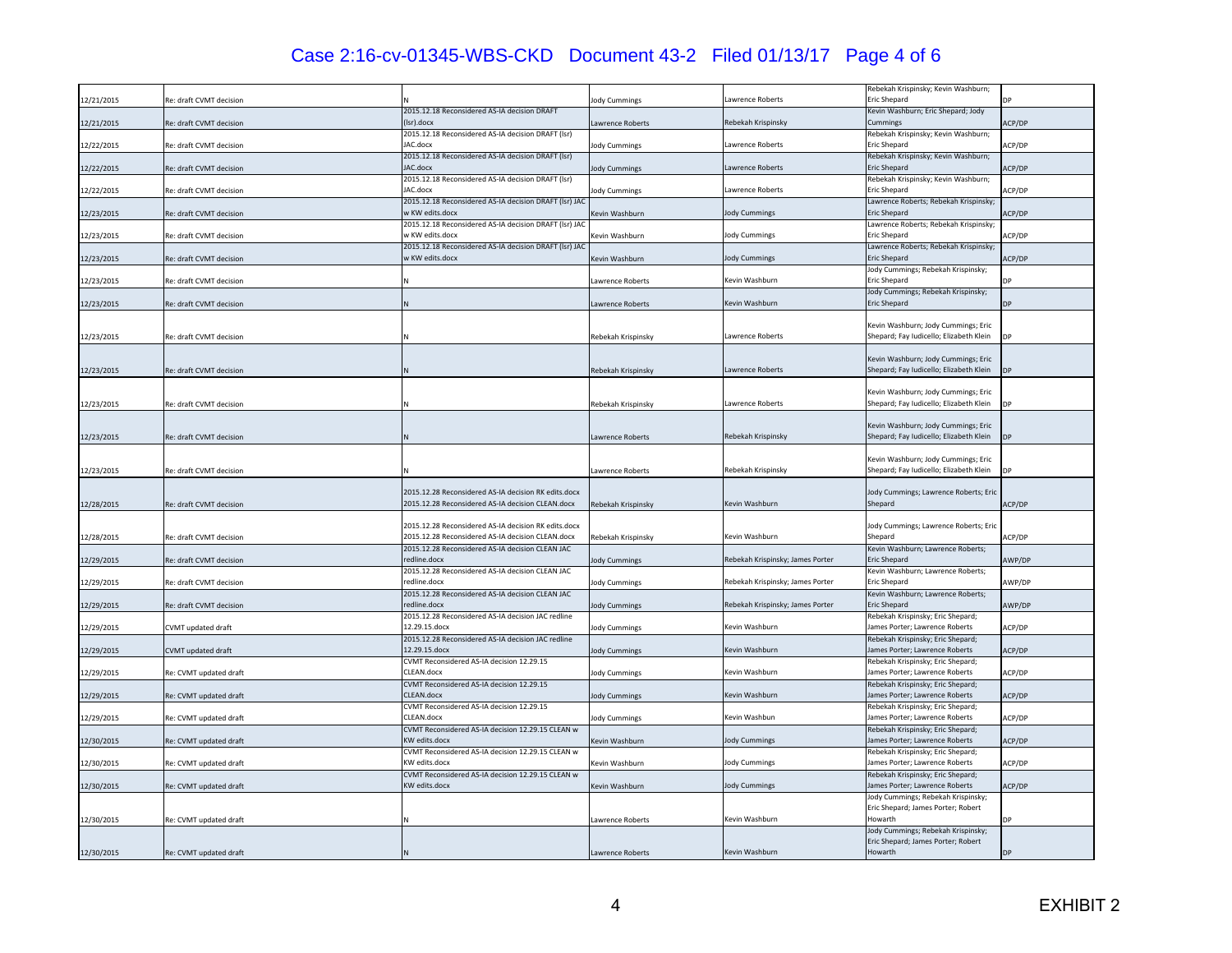# Case 2:16-cv-01345-WBS-CKD Document 43-2 Filed 01/13/17 Page 4 of 6

| 12/21/2015 | Re: draft CVMT decision   |                                                                                                           | lody Cummings           | awrence Roberts                  | Rebekah Krispinsky; Kevin Washburn;<br>Eric Shepard                            |                      |
|------------|---------------------------|-----------------------------------------------------------------------------------------------------------|-------------------------|----------------------------------|--------------------------------------------------------------------------------|----------------------|
|            |                           | 2015.12.18 Reconsidered AS-IA decision DRAFT                                                              |                         |                                  | Kevin Washburn; Eric Shepard; Jody                                             |                      |
| 12/21/2015 | Re: draft CVMT decision   | (Isr).docx                                                                                                | Lawrence Roberts        | Rebekah Krispinsky               | Cummings                                                                       | ACP/DP               |
| 12/22/2015 | Re: draft CVMT decision   | 2015.12.18 Reconsidered AS-IA decision DRAFT (Isr)<br>AC.docx                                             | <b>Jody Cummings</b>    | Lawrence Roberts                 | Rebekah Krispinsky; Kevin Washburn;<br><b>Eric Shepard</b>                     | ACP/DP               |
| 12/22/2015 | Re: draft CVMT decision   | 2015.12.18 Reconsidered AS-IA decision DRAFT (Isr)<br>AC.docx                                             | lody Cummings           | awrence Roberts                  | Rebekah Krispinsky; Kevin Washburn;<br>Eric Shepard                            | ACP/DP               |
| 12/22/2015 | Re: draft CVMT decision   | 2015.12.18 Reconsidered AS-IA decision DRAFT (lsr)<br><b>JAC.docx</b>                                     | lody Cummings           | Lawrence Roberts                 | Rebekah Krispinsky; Kevin Washburn;<br>Eric Shepard                            | ACP/DP               |
| 12/23/2015 | Re: draft CVMT decision   | 2015.12.18 Reconsidered AS-IA decision DRAFT (Isr) JAC<br>v KW edits.docx                                 | Kevin Washburn          | <b>Jody Cummings</b>             | Lawrence Roberts; Rebekah Krispinsky;<br><b>Eric Shepard</b>                   | ACP/DP               |
| 12/23/2015 | Re: draft CVMT decision   | 2015.12.18 Reconsidered AS-IA decision DRAFT (Isr) JAC<br>w KW edits.docx                                 | Kevin Washburn          | <b>Jody Cummings</b>             | Lawrence Roberts; Rebekah Krispinsky;<br><b>Eric Shepard</b>                   | ACP/DP               |
| 12/23/2015 | Re: draft CVMT decision   | 2015.12.18 Reconsidered AS-IA decision DRAFT (lsr) JAC<br>v KW edits.docx                                 | Kevin Washburn          | <b>Jody Cummings</b>             | Lawrence Roberts; Rebekah Krispinsky;<br>Eric Shepard                          | ACP/DP               |
| 12/23/2015 | Re: draft CVMT decision   |                                                                                                           | Lawrence Roberts        | Cevin Washburn                   | Jody Cummings; Rebekah Krispinsky;<br>Eric Shepard                             | DP                   |
|            | Re: draft CVMT decision   |                                                                                                           |                         | Kevin Washburn                   | Jody Cummings; Rebekah Krispinsky;<br><b>Eric Shepard</b>                      | DP                   |
| 12/23/2015 |                           |                                                                                                           | Lawrence Roberts        |                                  |                                                                                |                      |
| 12/23/2015 | Re: draft CVMT decision   |                                                                                                           | Rebekah Krispinsky      | awrence Roberts                  | Kevin Washburn; Jody Cummings; Eric<br>Shepard; Fay Iudicello; Elizabeth Klein |                      |
| 12/23/2015 | Re: draft CVMT decision   |                                                                                                           | Rebekah Krispinsky      | awrence Roberts                  | Kevin Washburn; Jody Cummings; Eric<br>Shepard; Fay Iudicello; Elizabeth Klein |                      |
| 12/23/2015 | Re: draft CVMT decision   |                                                                                                           | Rebekah Krispinsky      | awrence Roberts                  | Kevin Washburn; Jody Cummings; Eric<br>Shepard; Fay Iudicello; Elizabeth Klein |                      |
| 12/23/2015 | Re: draft CVMT decision   |                                                                                                           | Lawrence Roberts        | Rebekah Krispinsky               | Kevin Washburn; Jody Cummings; Eric<br>Shepard; Fay Iudicello; Elizabeth Klein |                      |
| 12/23/2015 | Re: draft CVMT decision   |                                                                                                           | Lawrence Roberts        | Rebekah Krispinsky               | Kevin Washburn; Jody Cummings; Eric<br>Shepard; Fay Iudicello; Elizabeth Klein | <b>D<sub>P</sub></b> |
| 12/28/2015 | Re: draft CVMT decision   | 2015.12.28 Reconsidered AS-IA decision RK edits.docx<br>2015.12.28 Reconsidered AS-IA decision CLEAN.docx | Rebekah Krispinsky      | Cevin Washburn                   | Jody Cummings; Lawrence Roberts; Eric<br>Shepard                               | ACP/DP               |
| 12/28/2015 | Re: draft CVMT decision   | 2015.12.28 Reconsidered AS-IA decision RK edits.docx<br>2015.12.28 Reconsidered AS-IA decision CLEAN.docx | Rebekah Krispinsky      | Kevin Washburn                   | Jody Cummings; Lawrence Roberts; Eric<br>Shepard                               | ACP/DP               |
| 12/29/2015 | Re: draft CVMT decision   | 2015.12.28 Reconsidered AS-IA decision CLEAN JAC<br>edline.docx                                           | lody Cummings           | Rebekah Krispinsky; James Porter | Kevin Washburn; Lawrence Roberts;<br>Eric Shepard                              | AWP/DP               |
| 12/29/2015 | Re: draft CVMT decision   | 2015.12.28 Reconsidered AS-IA decision CLEAN JAC<br>edline.docx                                           | lody Cummings           | Rebekah Krispinsky; James Porter | Kevin Washburn; Lawrence Roberts;<br>Eric Shepard                              | AWP/DP               |
| 12/29/2015 | Re: draft CVMT decision   | 2015.12.28 Reconsidered AS-IA decision CLEAN JAC<br>redline.docx                                          | lody Cummings           | Rebekah Krispinsky; James Porter | Kevin Washburn; Lawrence Roberts;<br><b>Eric Shepard</b>                       | AWP/DP               |
|            | <b>CVMT</b> updated draft | 2015.12.28 Reconsidered AS-IA decision JAC redline<br>12.29.15.docx                                       |                         | Kevin Washburn                   | Rebekah Krispinsky; Eric Shepard;<br>James Porter; Lawrence Roberts            | ACP/DP               |
| 12/29/2015 |                           | 2015.12.28 Reconsidered AS-IA decision JAC redline                                                        | <b>Jody Cummings</b>    |                                  | Rebekah Krispinsky; Eric Shepard;                                              |                      |
| 12/29/2015 | <b>CVMT</b> updated draft | 12.29.15.docx<br>CVMT Reconsidered AS-IA decision 12.29.15                                                | lody Cummings           | Cevin Washburn                   | lames Porter; Lawrence Roberts<br>Rebekah Krispinsky; Eric Shepard;            | ACP/DP               |
| 12/29/2015 | Re: CVMT updated draft    | CLEAN.docx<br>CVMT Reconsidered AS-IA decision 12.29.15                                                   | <b>lody Cummings</b>    | Kevin Washburn                   | lames Porter; Lawrence Roberts<br>Rebekah Krispinsky; Eric Shepard;            | ACP/DP               |
| 12/29/2015 | Re: CVMT updated draft    | CLEAN.docx                                                                                                | lody Cummings           | kevin Washburn                   | lames Porter; Lawrence Roberts                                                 | ACP/DP               |
| 12/29/2015 | Re: CVMT updated draft    | CVMT Reconsidered AS-IA decision 12.29.15<br>CLEAN.docx                                                   | <b>Jody Cummings</b>    | Kevin Washbun                    | Rebekah Krispinsky; Eric Shepard;<br>lames Porter; Lawrence Roberts            | ACP/DP               |
| 12/30/2015 | Re: CVMT updated draft    | CVMT Reconsidered AS-IA decision 12.29.15 CLEAN w<br><b>KW</b> edits.docx                                 | Kevin Washburn          | <b>Jody Cummings</b>             | Rebekah Krispinsky; Eric Shepard;<br>ames Porter; Lawrence Roberts             | ACP/DP               |
| 12/30/2015 | Re: CVMT updated draft    | CVMT Reconsidered AS-IA decision 12.29.15 CLEAN w<br>KW edits.docx                                        | Kevin Washburn          | <b>Jody Cummings</b>             | Rebekah Krispinsky; Eric Shepard;<br>James Porter; Lawrence Roberts            | ACP/DP               |
| 12/30/2015 | Re: CVMT updated draft    | CVMT Reconsidered AS-IA decision 12.29.15 CLEAN w<br><b>KW</b> edits docx                                 | Kevin Washburn          | Jody Cummings                    | Rebekah Krispinsky; Eric Shepard;<br>James Porter: Lawrence Roberts            | ACP/DP               |
|            |                           |                                                                                                           |                         |                                  | lody Cummings; Rebekah Krispinsky;<br>Eric Shepard; James Porter; Robert       |                      |
| 12/30/2015 | Re: CVMT updated draft    |                                                                                                           | Lawrence Roberts        | Kevin Washburn                   | Howarth                                                                        |                      |
|            |                           |                                                                                                           |                         |                                  | Jody Cummings; Rebekah Krispinsky;<br>Eric Shepard; James Porter; Robert       |                      |
| 12/30/2015 | Re: CVMT updated draft    |                                                                                                           | <b>Lawrence Roberts</b> | Kevin Washburn                   | Howarth                                                                        | DP                   |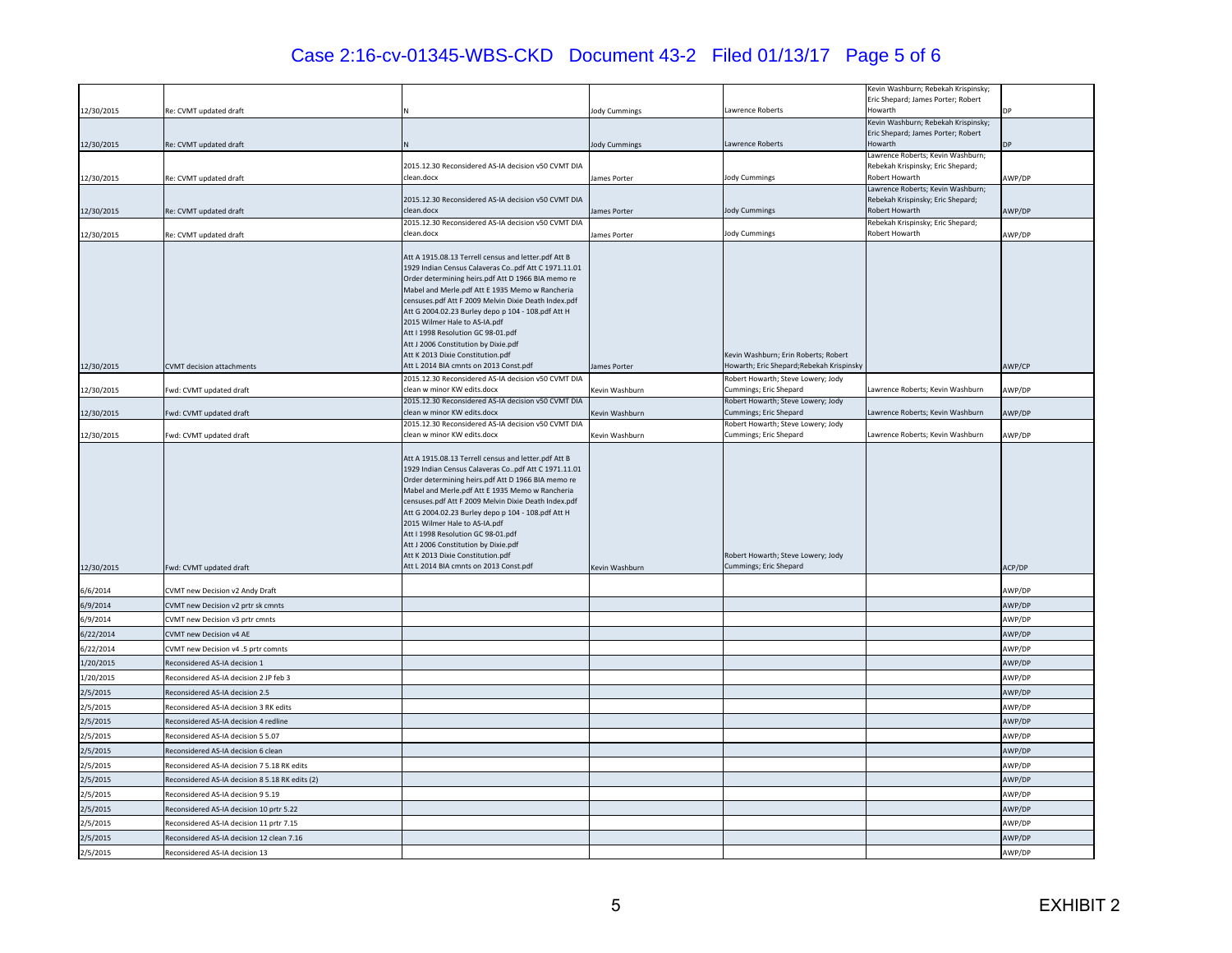# Case 2:16-cv-01345-WBS-CKD Document 43-2 Filed 01/13/17 Page 5 of 6

|            |                                                 |                                                                                                                                                                                                                                                                                                                                                                                                                                                                                                                                  |                |                                                              | Kevin Washburn; Rebekah Krispinsky;                 |        |
|------------|-------------------------------------------------|----------------------------------------------------------------------------------------------------------------------------------------------------------------------------------------------------------------------------------------------------------------------------------------------------------------------------------------------------------------------------------------------------------------------------------------------------------------------------------------------------------------------------------|----------------|--------------------------------------------------------------|-----------------------------------------------------|--------|
|            |                                                 |                                                                                                                                                                                                                                                                                                                                                                                                                                                                                                                                  |                |                                                              | Eric Shepard; James Porter; Robert                  |        |
| 12/30/2015 | Re: CVMT updated draft                          |                                                                                                                                                                                                                                                                                                                                                                                                                                                                                                                                  | lody Cummings  | awrence Roberts                                              | Howarth<br>Kevin Washburn; Rebekah Krispinsky;      |        |
|            |                                                 |                                                                                                                                                                                                                                                                                                                                                                                                                                                                                                                                  |                |                                                              | Eric Shepard; James Porter; Robert                  |        |
| 12/30/2015 | Re: CVMT updated draft                          |                                                                                                                                                                                                                                                                                                                                                                                                                                                                                                                                  | lody Cummings  | Lawrence Roberts                                             | Howarth                                             |        |
|            |                                                 |                                                                                                                                                                                                                                                                                                                                                                                                                                                                                                                                  |                |                                                              | Lawrence Roberts; Kevin Washburn;                   |        |
| 12/30/2015 | Re: CVMT updated draft                          | 2015.12.30 Reconsidered AS-IA decision v50 CVMT DIA<br>clean.docx                                                                                                                                                                                                                                                                                                                                                                                                                                                                |                | Jody Cummings                                                | Rebekah Krispinsky; Eric Shepard;<br>Robert Howarth | AWP/DP |
|            |                                                 |                                                                                                                                                                                                                                                                                                                                                                                                                                                                                                                                  | James Porter   |                                                              | Lawrence Roberts; Kevin Washburn;                   |        |
|            |                                                 | 2015.12.30 Reconsidered AS-IA decision v50 CVMT DIA                                                                                                                                                                                                                                                                                                                                                                                                                                                                              |                |                                                              | Rebekah Krispinsky; Eric Shepard;                   |        |
| 12/30/2015 | Re: CVMT updated draft                          | clean.docx                                                                                                                                                                                                                                                                                                                                                                                                                                                                                                                       | lames Porter   | lody Cummings                                                | Robert Howarth                                      | AWP/DP |
|            |                                                 | 2015.12.30 Reconsidered AS-IA decision v50 CVMT DIA<br>clean.docx                                                                                                                                                                                                                                                                                                                                                                                                                                                                |                | <b>Jody Cummings</b>                                         | Rebekah Krispinsky; Eric Shepard;<br>Robert Howarth |        |
| 12/30/2015 | Re: CVMT updated draft                          |                                                                                                                                                                                                                                                                                                                                                                                                                                                                                                                                  | lames Porter   |                                                              |                                                     | AWP/DP |
|            |                                                 | Att A 1915.08.13 Terrell census and letter.pdf Att B                                                                                                                                                                                                                                                                                                                                                                                                                                                                             |                |                                                              |                                                     |        |
|            |                                                 | 1929 Indian Census Calaveras Copdf Att C 1971.11.01                                                                                                                                                                                                                                                                                                                                                                                                                                                                              |                |                                                              |                                                     |        |
|            |                                                 | Order determining heirs.pdf Att D 1966 BIA memo re<br>Mabel and Merle.pdf Att E 1935 Memo w Rancheria                                                                                                                                                                                                                                                                                                                                                                                                                            |                |                                                              |                                                     |        |
|            |                                                 | censuses.pdf Att F 2009 Melvin Dixie Death Index.pdf                                                                                                                                                                                                                                                                                                                                                                                                                                                                             |                |                                                              |                                                     |        |
|            |                                                 | Att G 2004.02.23 Burley depo p 104 - 108.pdf Att H                                                                                                                                                                                                                                                                                                                                                                                                                                                                               |                |                                                              |                                                     |        |
|            |                                                 | 2015 Wilmer Hale to AS-IA.pdf<br>Att I 1998 Resolution GC 98-01.pdf                                                                                                                                                                                                                                                                                                                                                                                                                                                              |                |                                                              |                                                     |        |
|            |                                                 | Att J 2006 Constitution by Dixie.pdf                                                                                                                                                                                                                                                                                                                                                                                                                                                                                             |                |                                                              |                                                     |        |
|            |                                                 | Att K 2013 Dixie Constitution.pdf                                                                                                                                                                                                                                                                                                                                                                                                                                                                                                |                | Kevin Washburn; Erin Roberts; Robert                         |                                                     |        |
| 12/30/2015 | <b>CVMT</b> decision attachments                | Att L 2014 BIA cmnts on 2013 Const.pdf                                                                                                                                                                                                                                                                                                                                                                                                                                                                                           | James Porter   | Howarth; Eric Shepard; Rebekah Krispinsky                    |                                                     | AWP/CP |
|            |                                                 | 2015.12.30 Reconsidered AS-IA decision v50 CVMT DIA<br>clean w minor KW edits.docx                                                                                                                                                                                                                                                                                                                                                                                                                                               |                | Robert Howarth; Steve Lowery; Jody<br>Cummings; Eric Shepard | Lawrence Roberts; Kevin Washburn                    |        |
| 12/30/2015 | Fwd: CVMT updated draft                         | 2015.12.30 Reconsidered AS-IA decision v50 CVMT DIA                                                                                                                                                                                                                                                                                                                                                                                                                                                                              | Kevin Washburn | Robert Howarth; Steve Lowery; Jody                           |                                                     | AWP/DP |
| 12/30/2015 | Fwd: CVMT updated draft                         | clean w minor KW edits.docx                                                                                                                                                                                                                                                                                                                                                                                                                                                                                                      | Kevin Washburn | Cummings; Eric Shepard                                       | Lawrence Roberts; Kevin Washburn                    | AWP/DP |
|            |                                                 | 2015.12.30 Reconsidered AS-IA decision v50 CVMT DIA                                                                                                                                                                                                                                                                                                                                                                                                                                                                              |                | Robert Howarth; Steve Lowery; Jody                           |                                                     |        |
| 12/30/2015 | Fwd: CVMT updated draft                         | lean w minor KW edits.docx                                                                                                                                                                                                                                                                                                                                                                                                                                                                                                       | Kevin Washburn | Cummings; Eric Shepard                                       | Lawrence Roberts; Kevin Washburn                    | AWP/DP |
| 12/30/2015 | Fwd: CVMT updated draft                         | Att A 1915.08.13 Terrell census and letter.pdf Att B<br>1929 Indian Census Calaveras Copdf Att C 1971.11.01<br>Order determining heirs.pdf Att D 1966 BIA memo re<br>Mabel and Merle.pdf Att E 1935 Memo w Rancheria<br>censuses.pdf Att F 2009 Melvin Dixie Death Index.pdf<br>Att G 2004.02.23 Burley depo p 104 - 108.pdf Att H<br>2015 Wilmer Hale to AS-IA.pdf<br>Att I 1998 Resolution GC 98-01.pdf<br>Att J 2006 Constitution by Dixie.pdf<br>Att K 2013 Dixie Constitution.pdf<br>Att L 2014 BIA cmnts on 2013 Const.pdf | Kevin Washburn | Robert Howarth; Steve Lowery; Jody<br>Cummings; Eric Shepard |                                                     | ACP/DP |
|            |                                                 |                                                                                                                                                                                                                                                                                                                                                                                                                                                                                                                                  |                |                                                              |                                                     |        |
| 6/6/2014   | CVMT new Decision v2 Andy Draft                 |                                                                                                                                                                                                                                                                                                                                                                                                                                                                                                                                  |                |                                                              |                                                     | AWP/DP |
| 6/9/2014   | CVMT new Decision v2 prtr sk cmnts              |                                                                                                                                                                                                                                                                                                                                                                                                                                                                                                                                  |                |                                                              |                                                     | AWP/DP |
| 6/9/2014   | CVMT new Decision v3 prtr cmnts                 |                                                                                                                                                                                                                                                                                                                                                                                                                                                                                                                                  |                |                                                              |                                                     | AWP/DP |
| 5/22/2014  | CVMT new Decision v4 AE                         |                                                                                                                                                                                                                                                                                                                                                                                                                                                                                                                                  |                |                                                              |                                                     | AWP/DP |
| 6/22/2014  | CVMT new Decision v4 .5 prtr comnts             |                                                                                                                                                                                                                                                                                                                                                                                                                                                                                                                                  |                |                                                              |                                                     | AWP/DP |
| 1/20/2015  | Reconsidered AS-IA decision 1                   |                                                                                                                                                                                                                                                                                                                                                                                                                                                                                                                                  |                |                                                              |                                                     | AWP/DP |
| 1/20/2015  | Reconsidered AS-IA decision 2 JP feb 3          |                                                                                                                                                                                                                                                                                                                                                                                                                                                                                                                                  |                |                                                              |                                                     | AWP/DP |
| 2/5/2015   | Reconsidered AS-IA decision 2.5                 |                                                                                                                                                                                                                                                                                                                                                                                                                                                                                                                                  |                |                                                              |                                                     | AWP/DP |
| 2/5/2015   | Reconsidered AS-IA decision 3 RK edits          |                                                                                                                                                                                                                                                                                                                                                                                                                                                                                                                                  |                |                                                              |                                                     | AWP/DP |
| 2/5/2015   | Reconsidered AS-IA decision 4 redline           |                                                                                                                                                                                                                                                                                                                                                                                                                                                                                                                                  |                |                                                              |                                                     | AWP/DP |
| 2/5/2015   | Reconsidered AS-IA decision 5 5.07              |                                                                                                                                                                                                                                                                                                                                                                                                                                                                                                                                  |                |                                                              |                                                     | AWP/DP |
| 2/5/2015   | Reconsidered AS-IA decision 6 clean             |                                                                                                                                                                                                                                                                                                                                                                                                                                                                                                                                  |                |                                                              |                                                     | AWP/DP |
| 2/5/2015   | Reconsidered AS-IA decision 7 5.18 RK edits     |                                                                                                                                                                                                                                                                                                                                                                                                                                                                                                                                  |                |                                                              |                                                     | AWP/DP |
| 2/5/2015   | Reconsidered AS-IA decision 8 5.18 RK edits (2) |                                                                                                                                                                                                                                                                                                                                                                                                                                                                                                                                  |                |                                                              |                                                     | AWP/DP |
| 2/5/2015   | Reconsidered AS-IA decision 9 5.19              |                                                                                                                                                                                                                                                                                                                                                                                                                                                                                                                                  |                |                                                              |                                                     | AWP/DP |
| 2/5/2015   | Reconsidered AS-IA decision 10 prtr 5.22        |                                                                                                                                                                                                                                                                                                                                                                                                                                                                                                                                  |                |                                                              |                                                     | AWP/DP |
| 2/5/2015   | Reconsidered AS-IA decision 11 prtr 7.15        |                                                                                                                                                                                                                                                                                                                                                                                                                                                                                                                                  |                |                                                              |                                                     | AWP/DP |
| 2/5/2015   | Reconsidered AS-IA decision 12 clean 7.16       |                                                                                                                                                                                                                                                                                                                                                                                                                                                                                                                                  |                |                                                              |                                                     | AWP/DP |
| 2/5/2015   | Reconsidered AS-IA decision 13                  |                                                                                                                                                                                                                                                                                                                                                                                                                                                                                                                                  |                |                                                              |                                                     | AWP/DP |